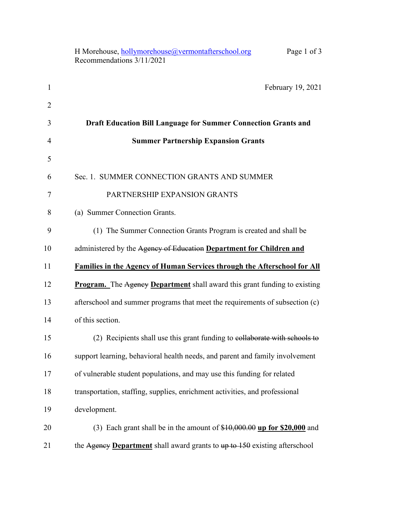|                | H Morehouse, hollymorehouse@vermontafterschool.org<br>Page 1 of 3<br>Recommendations 3/11/2021 |
|----------------|------------------------------------------------------------------------------------------------|
| $\mathbf{1}$   | February 19, 2021                                                                              |
| $\overline{2}$ |                                                                                                |
| 3              | <b>Draft Education Bill Language for Summer Connection Grants and</b>                          |
| 4              | <b>Summer Partnership Expansion Grants</b>                                                     |
| 5              |                                                                                                |
| 6              | Sec. 1. SUMMER CONNECTION GRANTS AND SUMMER                                                    |
| 7              | PARTNERSHIP EXPANSION GRANTS                                                                   |
| 8              | (a) Summer Connection Grants.                                                                  |
| 9              | (1) The Summer Connection Grants Program is created and shall be                               |
| 10             | administered by the Agency of Education Department for Children and                            |
| 11             | <b>Families in the Agency of Human Services through the Afterschool for All</b>                |
| 12             | <b>Program.</b> The Agency <b>Department</b> shall award this grant funding to existing        |
| 13             | afterschool and summer programs that meet the requirements of subsection (c)                   |
| 14             | of this section.                                                                               |
| 15             | (2) Recipients shall use this grant funding to collaborate with schools to                     |
| 16             | support learning, behavioral health needs, and parent and family involvement                   |
| 17             | of vulnerable student populations, and may use this funding for related                        |
| 18             | transportation, staffing, supplies, enrichment activities, and professional                    |
| 19             | development.                                                                                   |
| 20             | (3) Each grant shall be in the amount of $$10,000.00$ up for \$20,000 and                      |
| 21             | the Agency Department shall award grants to up to 150 existing afterschool                     |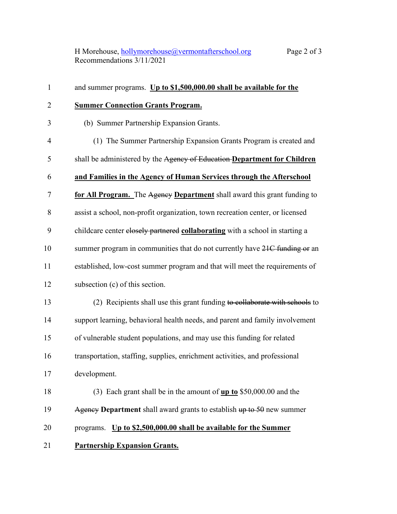H Morehouse, <u>hollymorehouse@vermontafterschool.org</u> Page 2 of 3 Recommendations 3/11/2021

| $\mathbf{1}$   | and summer programs. Up to \$1,500,000.00 shall be available for the                    |
|----------------|-----------------------------------------------------------------------------------------|
| $\overline{2}$ | <b>Summer Connection Grants Program.</b>                                                |
| 3              | (b) Summer Partnership Expansion Grants.                                                |
| 4              | (1) The Summer Partnership Expansion Grants Program is created and                      |
| 5              | shall be administered by the Agency of Education-Department for Children                |
| 6              | and Families in the Agency of Human Services through the Afterschool                    |
| 7              | for All Program. The Agency Department shall award this grant funding to                |
| 8              | assist a school, non-profit organization, town recreation center, or licensed           |
| 9              | childcare center elosely partnered collaborating with a school in starting a            |
| 10             | summer program in communities that do not currently have 21C funding or an              |
| 11             | established, low-cost summer program and that will meet the requirements of             |
| 12             | subsection (c) of this section.                                                         |
| 13             | (2) Recipients shall use this grant funding to collaborate with schools to              |
| 14             | support learning, behavioral health needs, and parent and family involvement            |
| 15             | of vulnerable student populations, and may use this funding for related                 |
| 16             | transportation, staffing, supplies, enrichment activities, and professional             |
| 17             | development.                                                                            |
| 18             | (3) Each grant shall be in the amount of $\mathbf{u} \mathbf{p}$ to \$50,000.00 and the |
| 19             | Agency Department shall award grants to establish $up to 50$ new summer                 |
| 20             | programs. Up to \$2,500,000.00 shall be available for the Summer                        |
| 21             | <b>Partnership Expansion Grants.</b>                                                    |